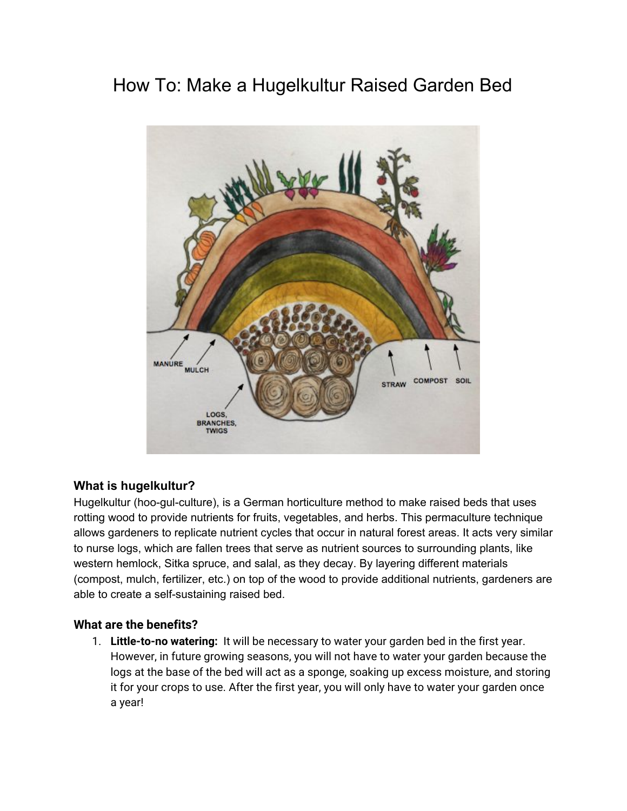# How To: Make a Hugelkultur Raised Garden Bed



## **What is hugelkultur?**

Hugelkultur (hoo-gul-culture), is a German horticulture method to make raised beds that uses rotting wood to provide nutrients for fruits, vegetables, and herbs. This permaculture technique allows gardeners to replicate nutrient cycles that occur in natural forest areas. It acts very similar to nurse logs, which are fallen trees that serve as nutrient sources to surrounding plants, like western hemlock, Sitka spruce, and salal, as they decay. By layering different materials (compost, mulch, fertilizer, etc.) on top of the wood to provide additional nutrients, gardeners are able to create a self-sustaining raised bed.

## **What are the benefits?**

1. **Little-to-no watering:** It will be necessary to water your garden bed in the first year. However, in future growing seasons, you will not have to water your garden because the logs at the base of the bed will act as a sponge, soaking up excess moisture, and storing it for your crops to use. After the first year, you will only have to water your garden once a year!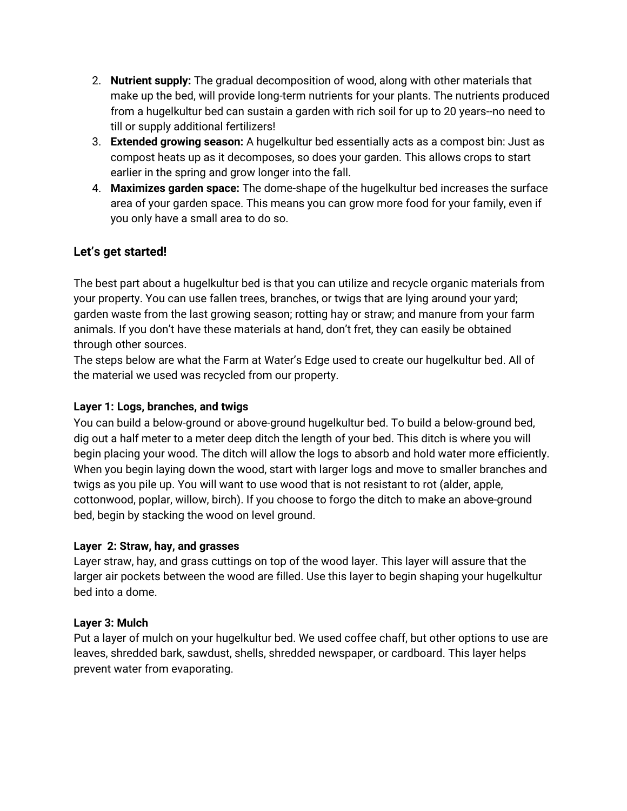- 2. **Nutrient supply:** The gradual decomposition of wood, along with other materials that make up the bed, will provide long-term nutrients for your plants. The nutrients produced from a hugelkultur bed can sustain a garden with rich soil for up to 20 years--no need to till or supply additional fertilizers!
- 3. **Extended growing season:** A hugelkultur bed essentially acts as a compost bin: Just as compost heats up as it decomposes, so does your garden. This allows crops to start earlier in the spring and grow longer into the fall.
- 4. **Maximizes garden space:** The dome-shape of the hugelkultur bed increases the surface area of your garden space. This means you can grow more food for your family, even if you only have a small area to do so.

# **Let's get started!**

The best part about a hugelkultur bed is that you can utilize and recycle organic materials from your property. You can use fallen trees, branches, or twigs that are lying around your yard; garden waste from the last growing season; rotting hay or straw; and manure from your farm animals. If you don't have these materials at hand, don't fret, they can easily be obtained through other sources.

The steps below are what the Farm at Water's Edge used to create our hugelkultur bed. All of the material we used was recycled from our property.

## **Layer 1: Logs, branches, and twigs**

You can build a below-ground or above-ground hugelkultur bed. To build a below-ground bed, dig out a half meter to a meter deep ditch the length of your bed. This ditch is where you will begin placing your wood. The ditch will allow the logs to absorb and hold water more efficiently. When you begin laying down the wood, start with larger logs and move to smaller branches and twigs as you pile up. You will want to use wood that is not resistant to rot (alder, apple, cottonwood, poplar, willow, birch). If you choose to forgo the ditch to make an above-ground bed, begin by stacking the wood on level ground.

## **Layer 2: Straw, hay, and grasses**

Layer straw, hay, and grass cuttings on top of the wood layer. This layer will assure that the larger air pockets between the wood are filled. Use this layer to begin shaping your hugelkultur bed into a dome.

## **Layer 3: Mulch**

Put a layer of mulch on your hugelkultur bed. We used coffee chaff, but other options to use are leaves, shredded bark, sawdust, shells, shredded newspaper, or cardboard. This layer helps prevent water from evaporating.